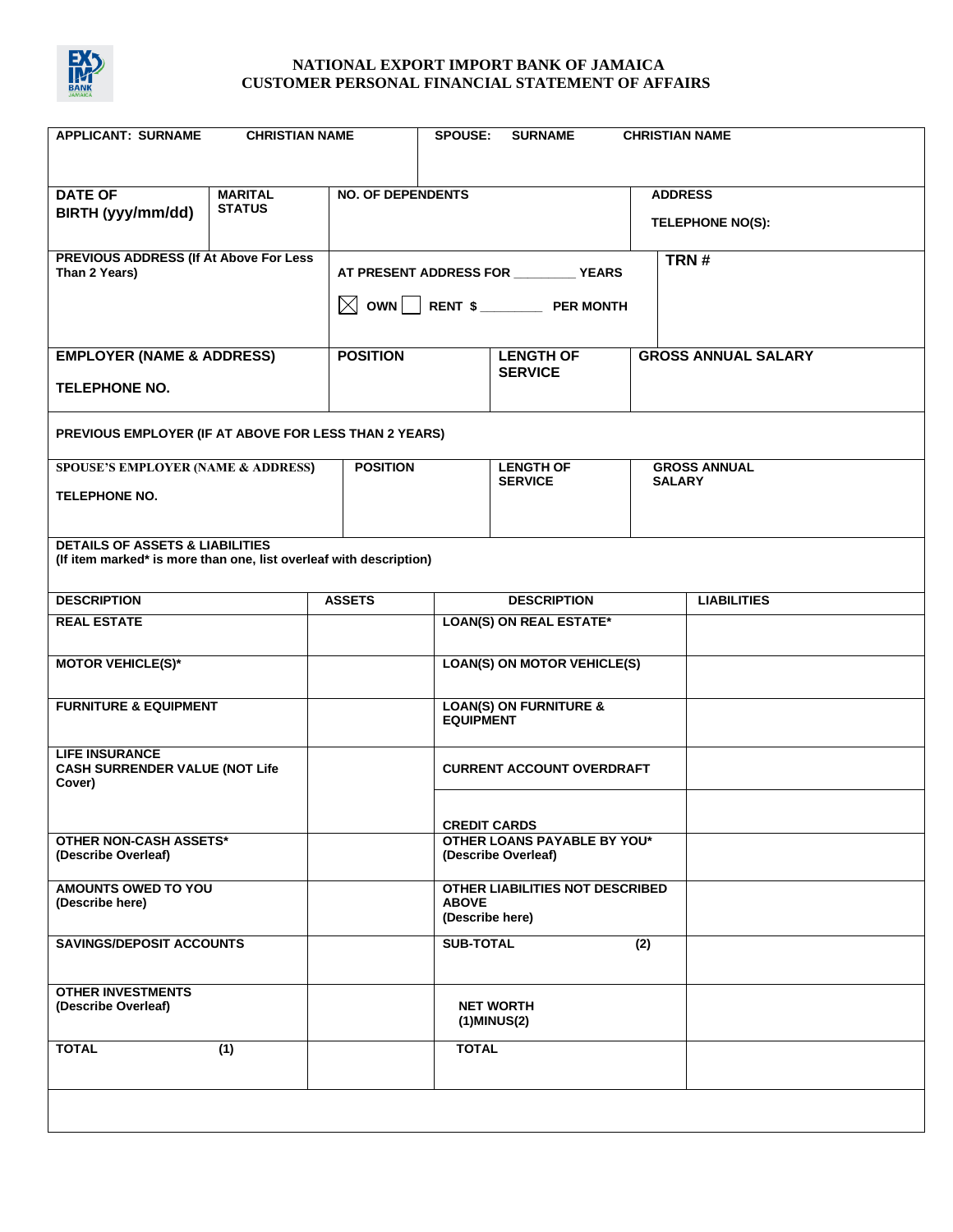

| <b>APPLICANT: SURNAME</b><br><b>CHRISTIAN NAME</b><br><b>SPOUSE:</b>                                             |                                         |                                                    |                                                       | <b>SURNAME</b>                                                     | <b>CHRISTIAN NAME</b>                     |                    |
|------------------------------------------------------------------------------------------------------------------|-----------------------------------------|----------------------------------------------------|-------------------------------------------------------|--------------------------------------------------------------------|-------------------------------------------|--------------------|
| <b>DATE OF</b><br>BIRTH (yyy/mm/dd)                                                                              | <b>MARITAL</b><br><b>STATUS</b>         | <b>NO. OF DEPENDENTS</b>                           |                                                       |                                                                    | <b>ADDRESS</b><br><b>TELEPHONE NO(S):</b> |                    |
| PREVIOUS ADDRESS (If At Above For Less<br>Than 2 Years)                                                          | AT PRESENT ADDRESS FOR __________ YEARS |                                                    |                                                       | TRN#                                                               |                                           |                    |
| <b>EMPLOYER (NAME &amp; ADDRESS)</b><br><b>TELEPHONE NO.</b>                                                     |                                         | <b>POSITION</b>                                    |                                                       | <b>LENGTH OF</b><br><b>SERVICE</b>                                 | <b>GROSS ANNUAL SALARY</b>                |                    |
| PREVIOUS EMPLOYER (IF AT ABOVE FOR LESS THAN 2 YEARS)                                                            |                                         |                                                    |                                                       |                                                                    |                                           |                    |
| <b>SPOUSE'S EMPLOYER (NAME &amp; ADDRESS)</b><br><b>TELEPHONE NO.</b>                                            | <b>POSITION</b>                         |                                                    | <b>LENGTH OF</b><br><b>SERVICE</b>                    | <b>SALARY</b>                                                      | <b>GROSS ANNUAL</b>                       |                    |
| <b>DETAILS OF ASSETS &amp; LIABILITIES</b><br>(If item marked* is more than one, list overleaf with description) |                                         |                                                    |                                                       |                                                                    |                                           |                    |
| <b>DESCRIPTION</b>                                                                                               |                                         | <b>ASSETS</b>                                      |                                                       | <b>DESCRIPTION</b>                                                 |                                           | <b>LIABILITIES</b> |
| <b>REAL ESTATE</b>                                                                                               |                                         |                                                    | <b>LOAN(S) ON REAL ESTATE*</b>                        |                                                                    |                                           |                    |
| <b>MOTOR VEHICLE(S)*</b>                                                                                         |                                         |                                                    | <b>LOAN(S) ON MOTOR VEHICLE(S)</b>                    |                                                                    |                                           |                    |
| <b>FURNITURE &amp; EQUIPMENT</b>                                                                                 |                                         |                                                    | <b>LOAN(S) ON FURNITURE &amp;</b><br><b>EQUIPMENT</b> |                                                                    |                                           |                    |
| <b>LIFE INSURANCE</b><br><b>CASH SURRENDER VALUE (NOT Life</b><br>Cover)                                         |                                         |                                                    |                                                       | <b>CURRENT ACCOUNT OVERDRAFT</b>                                   |                                           |                    |
|                                                                                                                  |                                         | <b>CREDIT CARDS</b>                                |                                                       |                                                                    |                                           |                    |
| <b>OTHER NON-CASH ASSETS*</b><br>(Describe Overleaf)                                                             |                                         | OTHER LOANS PAYABLE BY YOU*<br>(Describe Overleaf) |                                                       |                                                                    |                                           |                    |
| <b>AMOUNTS OWED TO YOU</b><br>(Describe here)                                                                    |                                         |                                                    |                                                       | OTHER LIABILITIES NOT DESCRIBED<br><b>ABOVE</b><br>(Describe here) |                                           |                    |
| <b>SAVINGS/DEPOSIT ACCOUNTS</b>                                                                                  |                                         |                                                    | <b>SUB-TOTAL</b>                                      |                                                                    | (2)                                       |                    |
| <b>OTHER INVESTMENTS</b><br>(Describe Overleaf)                                                                  |                                         |                                                    |                                                       | <b>NET WORTH</b><br>$(1)$ MINUS $(2)$                              |                                           |                    |
| <b>TOTAL</b>                                                                                                     | (1)                                     |                                                    | <b>TOTAL</b>                                          |                                                                    |                                           |                    |
|                                                                                                                  |                                         |                                                    |                                                       |                                                                    |                                           |                    |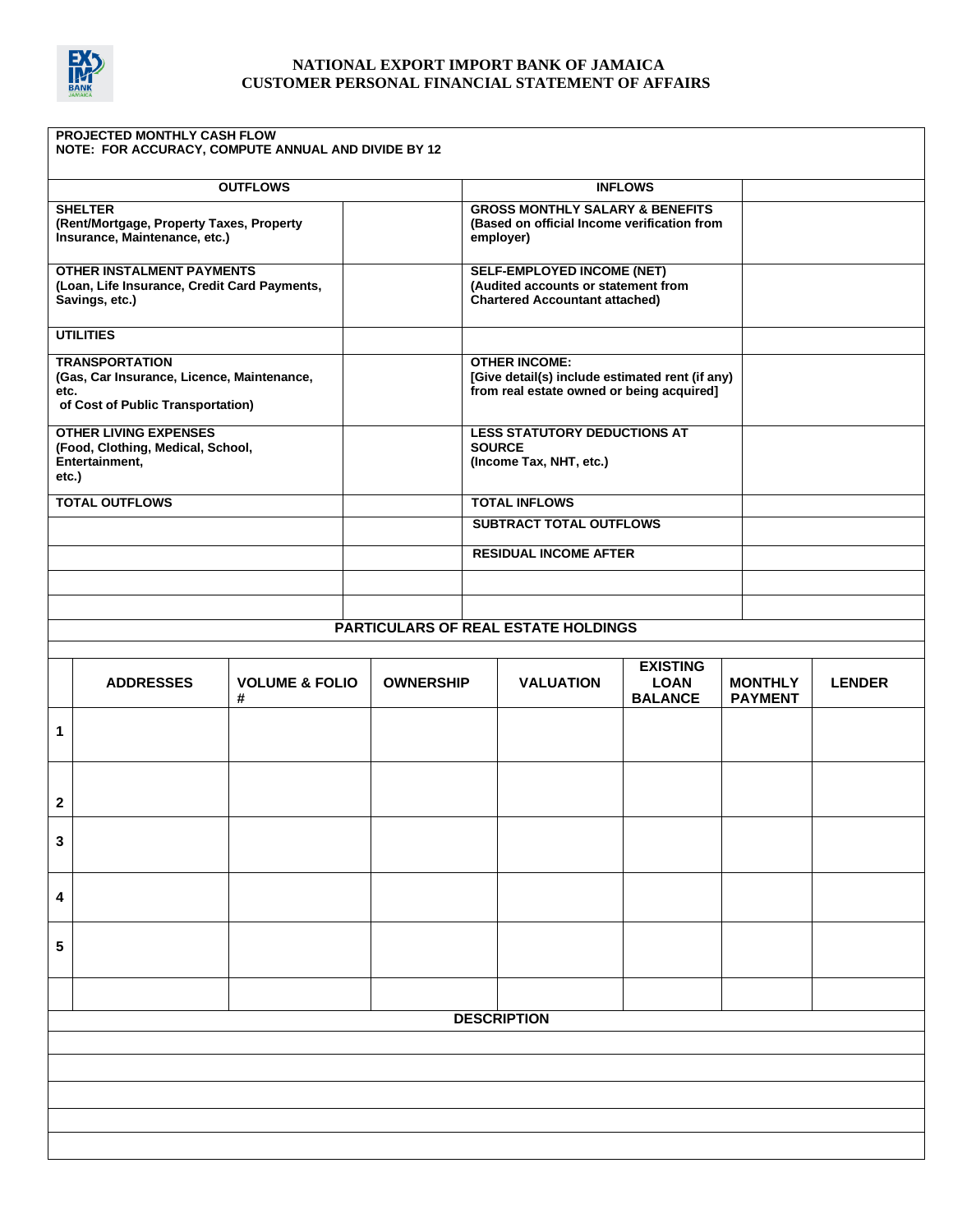

| PROJECTED MONTHLY CASH FLOW<br>NOTE: FOR ACCURACY, COMPUTE ANNUAL AND DIVIDE BY 12                               |                       |                                |                  |                                                                                                                      |                                                  |                                  |               |  |  |
|------------------------------------------------------------------------------------------------------------------|-----------------------|--------------------------------|------------------|----------------------------------------------------------------------------------------------------------------------|--------------------------------------------------|----------------------------------|---------------|--|--|
| <b>OUTFLOWS</b>                                                                                                  |                       |                                |                  | <b>INFLOWS</b>                                                                                                       |                                                  |                                  |               |  |  |
| <b>SHELTER</b><br>(Rent/Mortgage, Property Taxes, Property<br>Insurance, Maintenance, etc.)                      |                       |                                |                  | <b>GROSS MONTHLY SALARY &amp; BENEFITS</b><br>(Based on official Income verification from<br>employer)               |                                                  |                                  |               |  |  |
| <b>OTHER INSTALMENT PAYMENTS</b><br>(Loan, Life Insurance, Credit Card Payments,<br>Savings, etc.)               |                       |                                |                  | <b>SELF-EMPLOYED INCOME (NET)</b><br>(Audited accounts or statement from<br><b>Chartered Accountant attached)</b>    |                                                  |                                  |               |  |  |
| <b>UTILITIES</b>                                                                                                 |                       |                                |                  |                                                                                                                      |                                                  |                                  |               |  |  |
| <b>TRANSPORTATION</b><br>(Gas, Car Insurance, Licence, Maintenance,<br>etc.<br>of Cost of Public Transportation) |                       |                                |                  | <b>OTHER INCOME:</b><br>[Give detail(s) include estimated rent (if any)<br>from real estate owned or being acquired] |                                                  |                                  |               |  |  |
| <b>OTHER LIVING EXPENSES</b><br>(Food, Clothing, Medical, School,<br>Entertainment,<br>etc.)                     |                       |                                |                  | <b>LESS STATUTORY DEDUCTIONS AT</b><br><b>SOURCE</b><br>(Income Tax, NHT, etc.)                                      |                                                  |                                  |               |  |  |
|                                                                                                                  | <b>TOTAL OUTFLOWS</b> |                                |                  | <b>TOTAL INFLOWS</b>                                                                                                 |                                                  |                                  |               |  |  |
|                                                                                                                  |                       |                                |                  | <b>SUBTRACT TOTAL OUTFLOWS</b>                                                                                       |                                                  |                                  |               |  |  |
|                                                                                                                  |                       |                                |                  | <b>RESIDUAL INCOME AFTER</b>                                                                                         |                                                  |                                  |               |  |  |
|                                                                                                                  |                       |                                |                  |                                                                                                                      |                                                  |                                  |               |  |  |
|                                                                                                                  |                       |                                |                  |                                                                                                                      |                                                  |                                  |               |  |  |
|                                                                                                                  |                       |                                |                  | PARTICULARS OF REAL ESTATE HOLDINGS                                                                                  |                                                  |                                  |               |  |  |
|                                                                                                                  |                       |                                |                  |                                                                                                                      |                                                  |                                  |               |  |  |
|                                                                                                                  | <b>ADDRESSES</b>      | <b>VOLUME &amp; FOLIO</b><br># | <b>OWNERSHIP</b> | <b>VALUATION</b>                                                                                                     | <b>EXISTING</b><br><b>LOAN</b><br><b>BALANCE</b> | <b>MONTHLY</b><br><b>PAYMENT</b> | <b>LENDER</b> |  |  |
| 1                                                                                                                |                       |                                |                  |                                                                                                                      |                                                  |                                  |               |  |  |
| $\mathbf{2}$                                                                                                     |                       |                                |                  |                                                                                                                      |                                                  |                                  |               |  |  |
| 3                                                                                                                |                       |                                |                  |                                                                                                                      |                                                  |                                  |               |  |  |
| 4                                                                                                                |                       |                                |                  |                                                                                                                      |                                                  |                                  |               |  |  |
| 5                                                                                                                |                       |                                |                  |                                                                                                                      |                                                  |                                  |               |  |  |
|                                                                                                                  |                       |                                |                  |                                                                                                                      |                                                  |                                  |               |  |  |
|                                                                                                                  |                       |                                |                  | <b>DESCRIPTION</b>                                                                                                   |                                                  |                                  |               |  |  |
|                                                                                                                  |                       |                                |                  |                                                                                                                      |                                                  |                                  |               |  |  |
|                                                                                                                  |                       |                                |                  |                                                                                                                      |                                                  |                                  |               |  |  |
|                                                                                                                  |                       |                                |                  |                                                                                                                      |                                                  |                                  |               |  |  |
|                                                                                                                  |                       |                                |                  |                                                                                                                      |                                                  |                                  |               |  |  |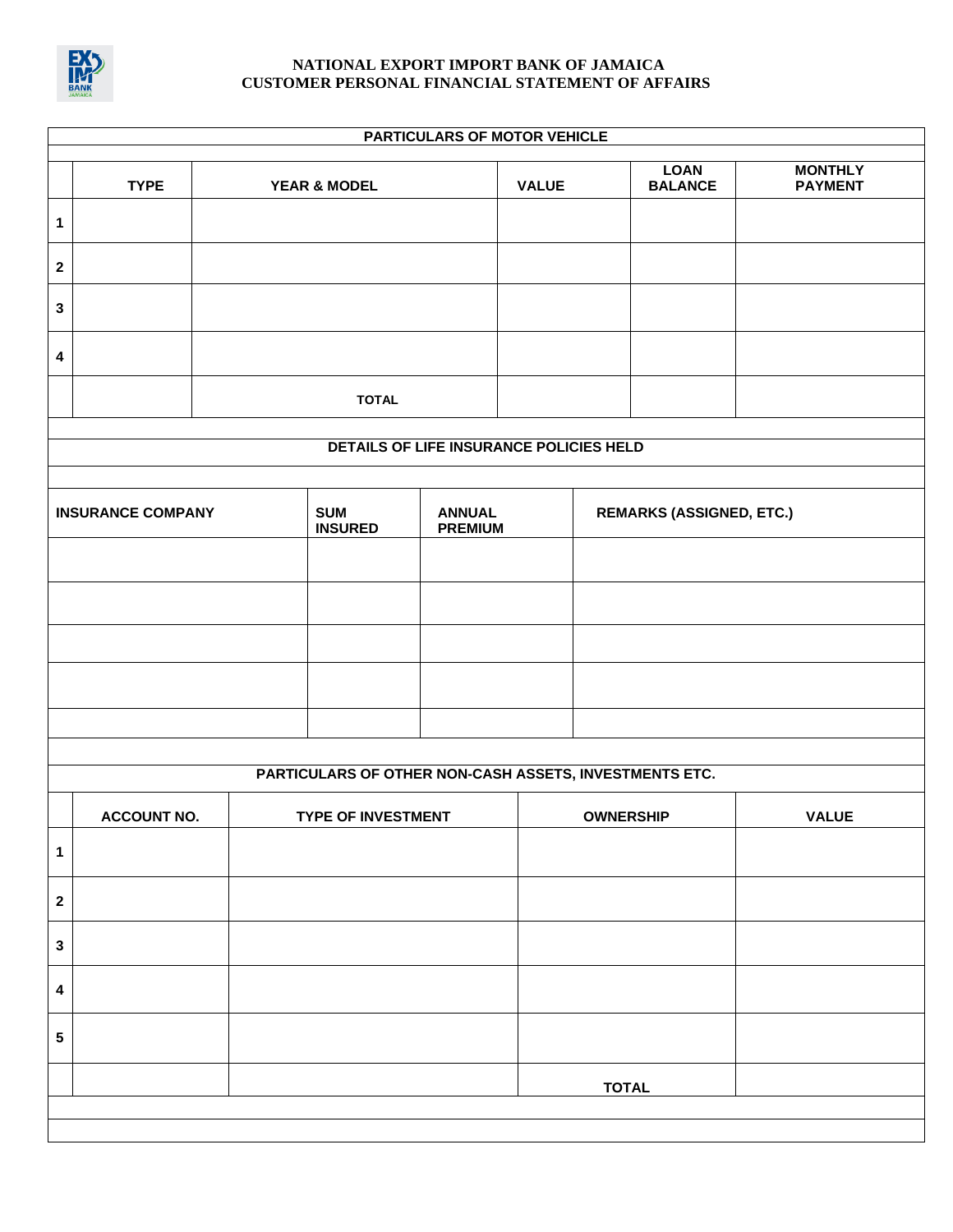

# **PARTICULARS OF MOTOR VEHICLE**

|                                                        | <b>TYPE</b>        |              | <b>YEAR &amp; MODEL</b>                 |                                 | <b>VALUE</b> |                                 | <b>LOAN</b><br><b>BALANCE</b> | <b>MONTHLY</b><br><b>PAYMENT</b> |
|--------------------------------------------------------|--------------------|--------------|-----------------------------------------|---------------------------------|--------------|---------------------------------|-------------------------------|----------------------------------|
| $\mathbf{1}$                                           |                    |              |                                         |                                 |              |                                 |                               |                                  |
| $\boldsymbol{2}$                                       |                    |              |                                         |                                 |              |                                 |                               |                                  |
| $\mathbf{3}$                                           |                    |              |                                         |                                 |              |                                 |                               |                                  |
| 4                                                      |                    |              |                                         |                                 |              |                                 |                               |                                  |
|                                                        |                    | <b>TOTAL</b> |                                         |                                 |              |                                 |                               |                                  |
|                                                        |                    |              | DETAILS OF LIFE INSURANCE POLICIES HELD |                                 |              |                                 |                               |                                  |
|                                                        |                    |              |                                         |                                 |              |                                 |                               |                                  |
| <b>INSURANCE COMPANY</b>                               |                    |              | <b>SUM</b><br><b>INSURED</b>            | <b>ANNUAL</b><br><b>PREMIUM</b> |              | <b>REMARKS (ASSIGNED, ETC.)</b> |                               |                                  |
|                                                        |                    |              |                                         |                                 |              |                                 |                               |                                  |
|                                                        |                    |              |                                         |                                 |              |                                 |                               |                                  |
|                                                        |                    |              |                                         |                                 |              |                                 |                               |                                  |
|                                                        |                    |              |                                         |                                 |              |                                 |                               |                                  |
|                                                        |                    |              |                                         |                                 |              |                                 |                               |                                  |
|                                                        |                    |              |                                         |                                 |              |                                 |                               |                                  |
| PARTICULARS OF OTHER NON-CASH ASSETS, INVESTMENTS ETC. |                    |              |                                         |                                 |              |                                 |                               |                                  |
|                                                        | <b>ACCOUNT NO.</b> |              | <b>TYPE OF INVESTMENT</b>               |                                 |              | <b>OWNERSHIP</b>                |                               | <b>VALUE</b>                     |
| 1                                                      |                    |              |                                         |                                 |              |                                 |                               |                                  |
| $\boldsymbol{2}$                                       |                    |              |                                         |                                 |              |                                 |                               |                                  |
| $\mathbf{3}$                                           |                    |              |                                         |                                 |              |                                 |                               |                                  |
| $\pmb{4}$                                              |                    |              |                                         |                                 |              |                                 |                               |                                  |
| ${\bf 5}$                                              |                    |              |                                         |                                 |              |                                 |                               |                                  |
|                                                        |                    |              |                                         |                                 |              | <b>TOTAL</b>                    |                               |                                  |
|                                                        |                    |              |                                         |                                 |              |                                 |                               |                                  |
|                                                        |                    |              |                                         |                                 |              |                                 |                               |                                  |